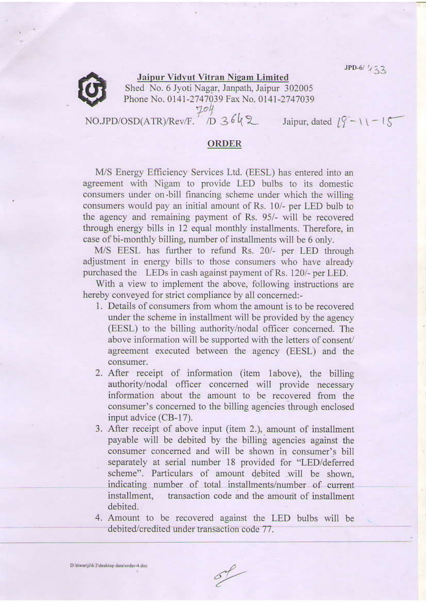$JPD-6/433$ 



**Jaipur Vidyut Vitran Nigam Limited** Shed No. 6 Jyoti Nagar, Janpath, Jaipur 302005 Phone No. 0141-2747039 Fax No. 0141-2747039 NO.JPD/OSD(ATR)/Rev/F. 1D 3642 Jaipur, dated  $19 - 11 - 15$ 

## **ORDER**

M/S Energy Efficiency Services Ltd. (EESL) has entered into an agreement with Nigam to provide LED bulbs to its domestic consumers under on bill financing scheme under which the willing consumers would pay an initial amount of Rs. 10/- per LED bulb to the agency and remaining payment of Rs. 95/- will be recovered through energy bills in 12 equal monthly installments. Therefore, in case of bi-monthly billing, number of installments will be 6 only.

M/S EESL has further to refund Rs. 20/- per LED through adjustment in energy bills to those consumers who have already purchased the LEDs in cash against payment of Rs. 120/- per LED.

With a view to implement the above, following instructions are hereby conveyed for strict compliance by all concerned:-

- 1. Details of consumers from whom the amount is to be recovered under the scheme in installment will be provided by the agency (EESL) to the billing authority/nodal officer concerned. The above information will be supported with the letters of consent/ agreement executed between the agency (EESL) and the consumer.
- 2. After receipt of information (item labove), the billing authority/nodal officer concerned will provide necessary information about the amount to be recovered from the consumer's concerned to the billing agencies through enclosed input advice (CB-17).
- 3. After receipt of above input (item 2.), amount of installment payable will be debited by the billing agencies against the consumer concerned and will be shown in consumer's bill separately at serial number 18 provided for "LED/deferred scheme". Particulars of amount debited will be shown, indicating number of total installments/number of current installment, transaction code and the amount of installment debited.
- 4. Amount to be recovered against the LED bulbs will be debited/credited under transaction code 77.

D:\tiwariji\6.2\desktop data\order-4.doc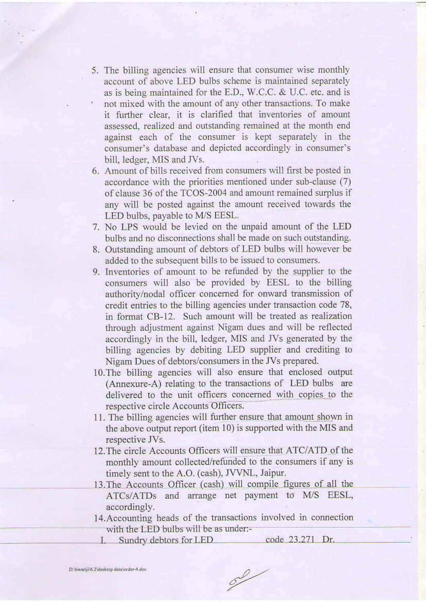- 5. The billing agencies will ensure that consumer wise monthly account of above LED bulbs scheme is maintained separately as is being maintained for the E.D., W.C.C. & U.C. etc. and is not mixed with the amount of any other transactions. To make it further clear, it is clarified that inventories of amount assessed, realized and outstanding remained at the month end against each of the consumer is kept separately in the consumer's database and depicted accordingly in consumer's bill, ledger, MIS and JVs.
- 6. Amount of bills received from consumers will first be posted in accordance with the priorities mentioned under sub-clause (7) of clause 36 of the TCOS-2004 and amount remained surplus if any will be posted against the amount received towards the LED bulbs, payable to M/S EESL.
- 7. No LPS would be levied on the unpaid amount of the LED bulbs and no disconnections shall be made on such outstanding.
- 8. Outstanding amount of debtors of LED bulbs will however be added to the subsequent bills to be issued to consumers.
- 9. Inventories of amount to be refunded by the supplier to the consumers will also be provided by EESL to the billing authority/nodal officer concerned for onward transmission of credit entries to the billing agencies under transaction code 78, in format CB-12. Such amount will be treated as realization through adjustment against Nigam dues and will be reflected accordingly in the bill, ledger, MIS and JVs generated by the billing agencies by debiting LED supplier and crediting to Nigam Dues of debtors/consumers in the JVs prepared.
- 10. The billing agencies will also ensure that enclosed output (Annexure-A) relating to the transactions of LED bulbs are delivered to the unit officers concerned with copies to the respective circle Accounts Officers.
- 11. The billing agencies will further ensure that amount shown in the above output report (item 10) is supported with the MIS and respective JVs.
- 12. The circle Accounts Officers will ensure that ATC/ATD of the monthly amount collected/refunded to the consumers if any is timely sent to the A.O. (cash), JVVNL, Jaipur.
- 13. The Accounts Officer (cash) will compile figures of all the ATCs/ATDs and arrange net payment to M/S EESL, accordingly.
- 14. Accounting heads of the transactions involved in connection with the LED bulbs will be as under:-

 $\mathscr{S}$ 

Sundry debtors for LED code 23.271 Dr.

D. tiwariii 6.2 desktop data order-4.doc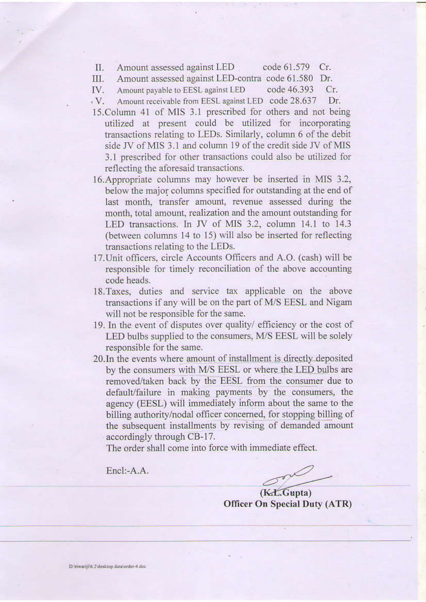code 61.579 Cr. П. Amount assessed against LED

Amount assessed against LED-contra code 61.580 Dr. III.

IV. Amount payable to EESL against LED code 46.393  $Cr.$ 

- Amount receivable from EESL against LED code 28.637  $\cdot$  V. Dr.
- 15. Column 41 of MIS 3.1 prescribed for others and not being utilized at present could be utilized for incorporating transactions relating to LEDs. Similarly, column 6 of the debit side JV of MIS 3.1 and column 19 of the credit side JV of MIS 3.1 prescribed for other transactions could also be utilized for reflecting the aforesaid transactions.
- 16. Appropriate columns may however be inserted in MIS 3.2, below the major columns specified for outstanding at the end of last month, transfer amount, revenue assessed during the month, total amount, realization and the amount outstanding for LED transactions. In JV of MIS 3.2, column 14.1 to 14.3 (between columns 14 to 15) will also be inserted for reflecting transactions relating to the LEDs.
- 17. Unit officers, circle Accounts Officers and A.O. (cash) will be responsible for timely reconciliation of the above accounting code heads.
- 18. Taxes, duties and service tax applicable on the above transactions if any will be on the part of M/S EESL and Nigam will not be responsible for the same.
- 19. In the event of disputes over quality/ efficiency or the cost of LED bulbs supplied to the consumers, M/S EESL will be solely responsible for the same.
- 20. In the events where amount of installment is directly deposited by the consumers with M/S EESL or where the LED bulbs are removed/taken back by the EESL from the consumer due to default/failure in making payments by the consumers, the agency (EESL) will immediately inform about the same to the billing authority/nodal officer concerned, for stopping billing of the subsequent installments by revising of demanded amount accordingly through CB-17.

The order shall come into force with immediate effect.

Encl:-A.A.

 $(K.L.Gupta)$ **Officer On Special Duty (ATR)**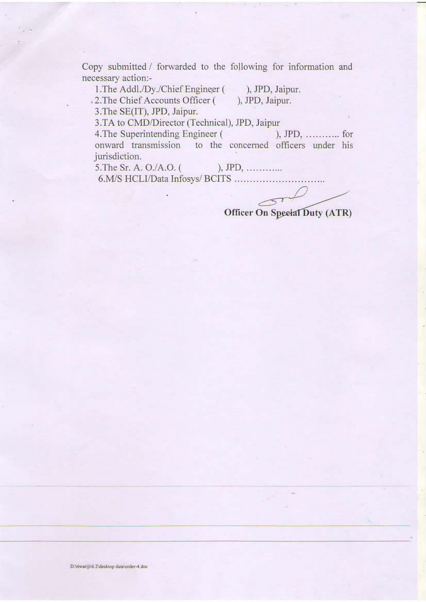Copy submitted / forwarded to the following for information and necessary action:-

1. The Addl./Dy./Chief Engineer (), JPD, Jaipur.

), JPD, Jaipur.

.2. The Chief Accounts Officer ( 3. The SE(IT), JPD, Jaipur.

3.TA to CMD/Director (Technical), JPD, Jaipur

4. The Superintending Engineer ( ),  $JPD$ , ............. for onward transmission to the concerned officers under his jurisdiction.

),  $JPD$ , .............. 5. The Sr. A. O./A.O. (

6.M/S HCLI/Data Infosys/ BCITS .....................

. . . . .

Officer On Special Duty (ATR)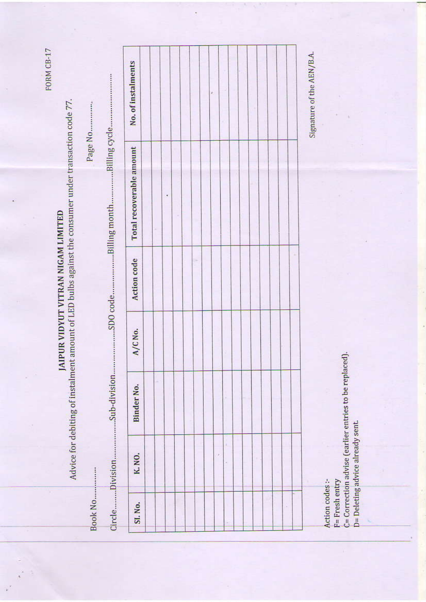FORM CB-17

## JAIPUR VIDYUT VITRAN NIGAM LIMITED

Advice for debiting of instalment amount of LED bulbs against the consumer under transaction code 77.

Page No..............

| ٠<br>SI. No. |       |            |         |             | Total recoverable amount | No. of instalments |
|--------------|-------|------------|---------|-------------|--------------------------|--------------------|
|              | K.NO. | Binder No. | A/C No. | Action code |                          |                    |
|              |       |            |         |             |                          |                    |
|              |       |            |         |             |                          |                    |
|              |       |            |         |             |                          |                    |
|              |       |            |         |             |                          |                    |
|              |       |            |         |             |                          |                    |
|              |       |            |         |             |                          |                    |
|              |       |            |         |             |                          |                    |
|              |       |            |         |             |                          |                    |
|              |       |            |         |             |                          |                    |
|              |       |            |         |             |                          |                    |
|              |       |            |         |             |                          |                    |
|              |       |            |         |             |                          |                    |
|              |       |            |         |             |                          |                    |
|              |       |            |         |             |                          |                    |
|              |       |            |         |             |                          |                    |
|              |       |            |         |             |                          |                    |

Action codes:-

 $T =$ Fresh entry

C= Correction advise (earlier entries to be replaced). D= Deleting advice already sent.

Signature of the AEN/B.A.